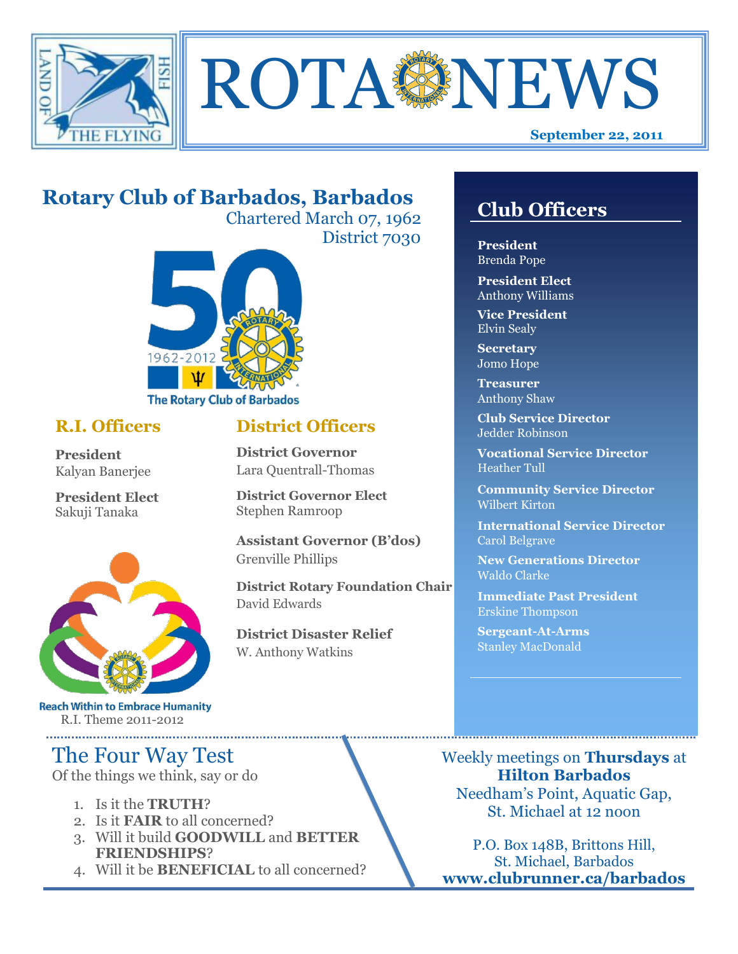



# **Rotary Club of Barbados, Barbados**

Chartered March 07, 1962 District 7030



## **R.I. Officers**

**President**  Kalyan Banerjee

**President Elect** Sakuji Tanaka



**Reach Within to Embrace Humanity** R.I. Theme 2011-2012

# The Four Way Test

Of the things we think, say or do

- 1. Is it the **TRUTH**?
- 2. Is it **FAIR** to all concerned?
- 3. Will it build **GOODWILL** and **BETTER FRIENDSHIPS**?
- 4. Will it be **BENEFICIAL** to all concerned?

# **Club Officers**

**Club Officers** 

**President** Brenda Pope

**President Elect** Anthony Williams

**Vice President** Elvin Sealy

**Secretary** Jomo Hope

**Treasurer** Anthony Shaw

**Club Service Director** Jedder Robinson

**Vocational Service Director** Heather Tull

**Community Service Director** Wilbert Kirton

**International Service Director** Carol Belgrave

**New Generations Director** Waldo Clarke

**Immediate Past President** Erskine Thompson

**Sergeant-At-Arms** Stanley MacDonald

Weekly meetings on **Thursdays** at **Hilton Barbados** Needham's Point, Aquatic Gap, St. Michael at 12 noon

P.O. Box 148B, Brittons Hill, St. Michael, Barbados **www.clubrunner.ca/barbados**

## **District Officers**

**District Governor** Lara Quentrall-Thomas

**District Governor Elect** Stephen Ramroop

**Assistant Governor (B'dos)** Grenville Phillips

**District Rotary Foundation Chair** David Edwards

**District Disaster Relief** W. Anthony Watkins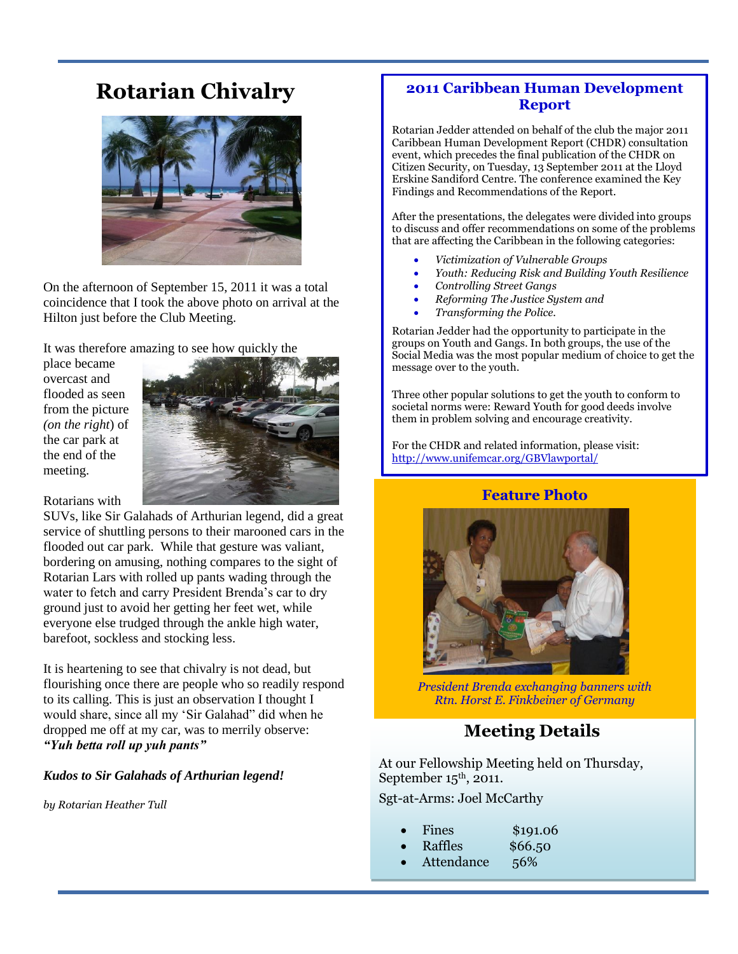# **Rotarian Chivalry**



On the afternoon of September 15, 2011 it was a total coincidence that I took the above photo on arrival at the Hilton just before the Club Meeting.

It was therefore amazing to see how quickly the

place became overcast and flooded as seen from the picture *(on the right*) of the car park at the end of the meeting.



Rotarians with

SUVs, like Sir Galahads of Arthurian legend, did a great service of shuttling persons to their marooned cars in the flooded out car park. While that gesture was valiant, bordering on amusing, nothing compares to the sight of Rotarian Lars with rolled up pants wading through the water to fetch and carry President Brenda's car to dry ground just to avoid her getting her feet wet, while everyone else trudged through the ankle high water, barefoot, sockless and stocking less.

It is heartening to see that chivalry is not dead, but flourishing once there are people who so readily respond to its calling. This is just an observation I thought I would share, since all my 'Sir Galahad" did when he dropped me off at my car, was to merrily observe: *"Yuh betta roll up yuh pants"*

#### *Kudos to Sir Galahads of Arthurian legend!*

*by Rotarian Heather Tull*

### **2011 Caribbean Human Development Report**

Rotarian Jedder attended on behalf of the club the major 2011 Caribbean Human Development Report (CHDR) consultation event, which precedes the final publication of the CHDR on Citizen Security, on Tuesday, 13 September 2011 at the Lloyd Erskine Sandiford Centre. The conference examined the Key Findings and Recommendations of the Report.

After the presentations, the delegates were divided into groups to discuss and offer recommendations on some of the problems that are affecting the Caribbean in the following categories:

- *Victimization of Vulnerable Groups*
- *Youth: Reducing Risk and Building Youth Resilience*
- *Controlling Street Gangs*
- *Reforming The Justice System and*
- *Transforming the Police.*

Rotarian Jedder had the opportunity to participate in the groups on Youth and Gangs. In both groups, the use of the Social Media was the most popular medium of choice to get the message over to the youth.

Three other popular solutions to get the youth to conform to societal norms were: Reward Youth for good deeds involve them in problem solving and encourage creativity.

For the CHDR and related information, please visit: <http://www.unifemcar.org/GBVlawportal/>

### **Feature Photo**



*President Brenda exchanging banners with Rtn. Horst E. Finkbeiner of Germany*

## **Meeting Details**

At our Fellowship Meeting held on Thursday, September  $15<sup>th</sup>$ , 2011.

Sgt-at-Arms: Joel McCarthy

- Fines \$191.06
	- Raffles \$66.50
		-
- Attendance 56%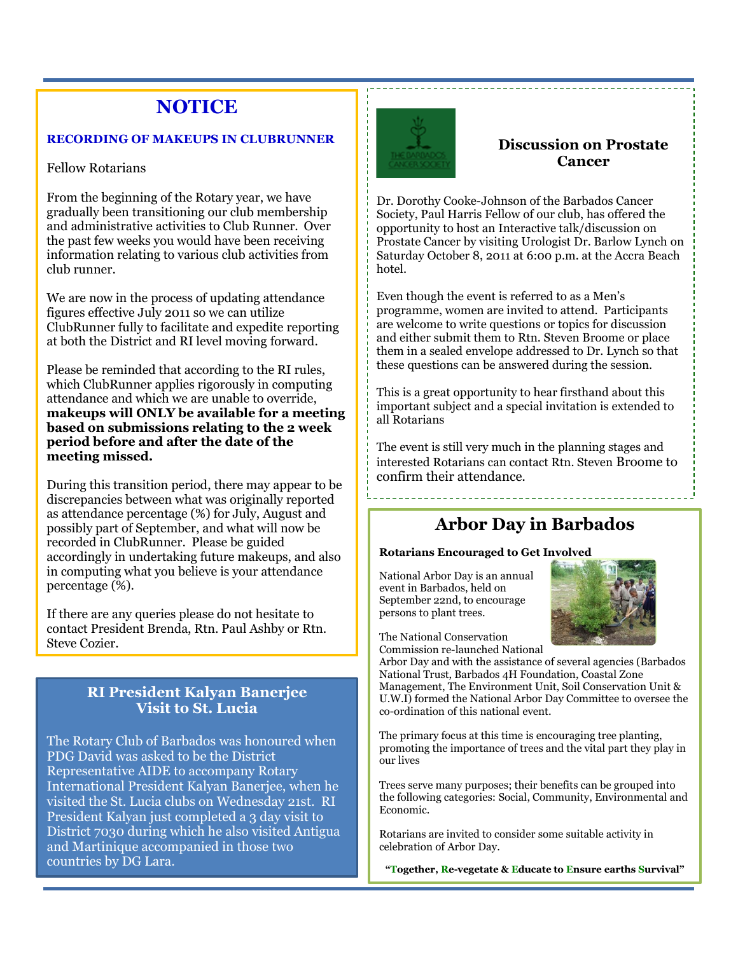# **NOTICE**

#### **RECORDING OF MAKEUPS IN CLUBRUNNER**

#### Fellow Rotarians

From the beginning of the Rotary year, we have gradually been transitioning our club membership and administrative activities to Club Runner. Over the past few weeks you would have been receiving information relating to various club activities from club runner.

We are now in the process of updating attendance figures effective July 2011 so we can utilize ClubRunner fully to facilitate and expedite reporting at both the District and RI level moving forward.

Please be reminded that according to the RI rules, which ClubRunner applies rigorously in computing attendance and which we are unable to override, **makeups will ONLY be available for a meeting based on submissions relating to the 2 week period before and after the date of the meeting missed.**

During this transition period, there may appear to be discrepancies between what was originally reported as attendance percentage (%) for July, August and possibly part of September, and what will now be recorded in ClubRunner. Please be guided accordingly in undertaking future makeups, and also in computing what you believe is your attendance percentage (%).

If there are any queries please do not hesitate to contact President Brenda, Rtn. Paul Ashby or Rtn. Steve Cozier.

### **RI President Kalyan Banerjee Visit to St. Lucia**

The Rotary Club of Barbados was honoured when PDG David was asked to be the District Representative AIDE to accompany Rotary International President Kalyan Banerjee, when he visited the St. Lucia clubs on Wednesday 21st. RI President Kalyan just completed a 3 day visit to District 7030 during which he also visited Antigua and Martinique accompanied in those two countries by DG Lara.



### **Discussion on Prostate Cancer**

Dr. Dorothy Cooke-Johnson of the Barbados Cancer Society, Paul Harris Fellow of our club, has offered the opportunity to host an Interactive talk/discussion on Prostate Cancer by visiting Urologist Dr. Barlow Lynch on Saturday October 8, 2011 at 6:00 p.m. at the Accra Beach hotel.

Even though the event is referred to as a Men's programme, women are invited to attend. Participants are welcome to write questions or topics for discussion and either submit them to Rtn. Steven Broome or place them in a sealed envelope addressed to Dr. Lynch so that these questions can be answered during the session.

This is a great opportunity to hear firsthand about this important subject and a special invitation is extended to all Rotarians

The event is still very much in the planning stages and interested Rotarians can contact Rtn. Steven Broome to confirm their attendance.

## **Arbor Day in Barbados**

#### **Rotarians Encouraged to Get Involved**

National Arbor Day is an annual event in Barbados, held on September 22nd, to encourage persons to plant trees.



The National Conservation Commission re-launched National

Arbor Day and with the assistance of several agencies (Barbados National Trust, Barbados 4H Foundation, Coastal Zone Management, The Environment Unit, Soil Conservation Unit & U.W.I) formed the National Arbor Day Committee to oversee the co-ordination of this national event.

The primary focus at this time is encouraging tree planting, promoting the importance of trees and the vital part they play in our lives

Trees serve many purposes; their benefits can be grouped into the following categories: Social, Community, Environmental and Economic.

Rotarians are invited to consider some suitable activity in celebration of Arbor Day.

**"Together, Re-vegetate & Educate to Ensure earths Survival"**